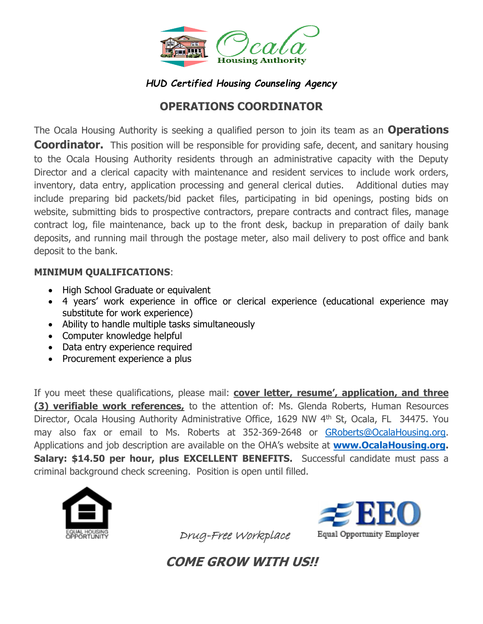

## *HUD Certified Housing Counseling Agency*

# **OPERATIONS COORDINATOR**

The Ocala Housing Authority is seeking a qualified person to join its team as an **Operations Coordinator.** This position will be responsible for providing safe, decent, and sanitary housing to the Ocala Housing Authority residents through an administrative capacity with the Deputy Director and a clerical capacity with maintenance and resident services to include work orders, inventory, data entry, application processing and general clerical duties. Additional duties may include preparing bid packets/bid packet files, participating in bid openings, posting bids on website, submitting bids to prospective contractors, prepare contracts and contract files, manage contract log, file maintenance, back up to the front desk, backup in preparation of daily bank deposits, and running mail through the postage meter, also mail delivery to post office and bank deposit to the bank.

### **MINIMUM QUALIFICATIONS**:

- High School Graduate or equivalent
- 4 years' work experience in office or clerical experience (educational experience may substitute for work experience)
- Ability to handle multiple tasks simultaneously
- Computer knowledge helpful
- Data entry experience required
- Procurement experience a plus

If you meet these qualifications, please mail: **cover letter, resume', application, and three (3) verifiable work references,** to the attention of: Ms. Glenda Roberts, Human Resources Director, Ocala Housing Authority Administrative Office, 1629 NW 4<sup>th</sup> St, Ocala, FL 34475. You may also fax or email to Ms. Roberts at 352-369-2648 or [GRoberts@OcalaHousing.org.](mailto:GRoberts@OcalaHousing.org) Applications and job description are available on the OHA's website at **[www.OcalaHousing.org.](http://www.ocalahousing.org/) Salary: \$14.50 per hour, plus EXCELLENT BENEFITS.** Successful candidate must pass a criminal background check screening. Position is open until filled.





Drug-Free Workplace

**COME GROW WITH US!!**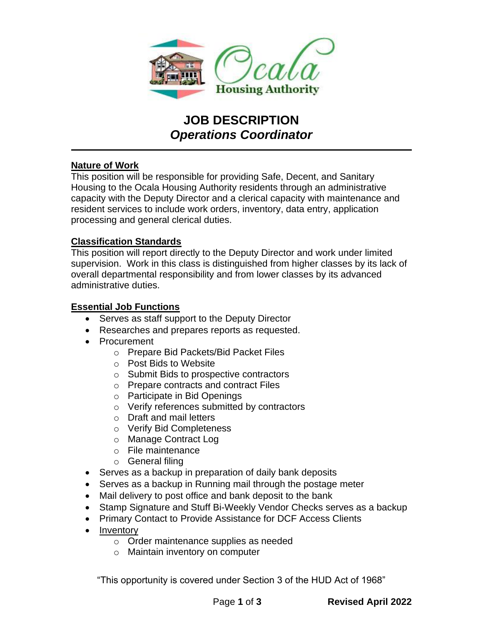

# **JOB DESCRIPTION** *Operations Coordinator*

#### **Nature of Work**

This position will be responsible for providing Safe, Decent, and Sanitary Housing to the Ocala Housing Authority residents through an administrative capacity with the Deputy Director and a clerical capacity with maintenance and resident services to include work orders, inventory, data entry, application processing and general clerical duties.

#### **Classification Standards**

This position will report directly to the Deputy Director and work under limited supervision. Work in this class is distinguished from higher classes by its lack of overall departmental responsibility and from lower classes by its advanced administrative duties.

#### **Essential Job Functions**

- Serves as staff support to the Deputy Director
- Researches and prepares reports as requested.
- Procurement
	- o Prepare Bid Packets/Bid Packet Files
	- o Post Bids to Website
	- o Submit Bids to prospective contractors
	- o Prepare contracts and contract Files
	- o Participate in Bid Openings
	- o Verify references submitted by contractors
	- o Draft and mail letters
	- o Verify Bid Completeness
	- o Manage Contract Log
	- o File maintenance
	- o General filing
- Serves as a backup in preparation of daily bank deposits
- Serves as a backup in Running mail through the postage meter
- Mail delivery to post office and bank deposit to the bank
- Stamp Signature and Stuff Bi-Weekly Vendor Checks serves as a backup
- Primary Contact to Provide Assistance for DCF Access Clients
- **Inventory** 
	- o Order maintenance supplies as needed
	- o Maintain inventory on computer

"This opportunity is covered under Section 3 of the HUD Act of 1968"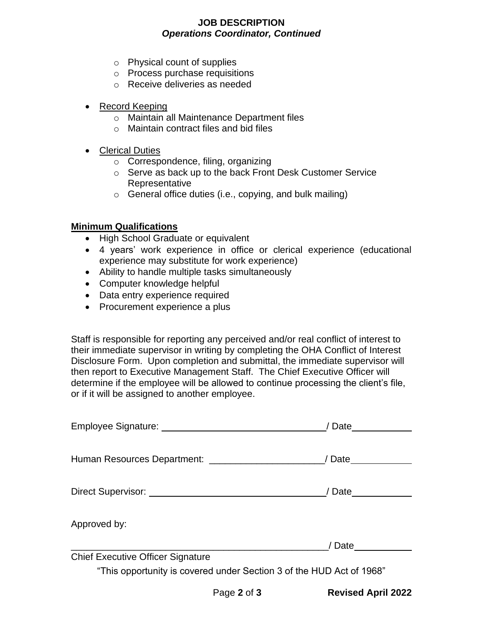#### **JOB DESCRIPTION** *Operations Coordinator, Continued*

- o Physical count of supplies
- o Process purchase requisitions
- o Receive deliveries as needed
- Record Keeping
	- o Maintain all Maintenance Department files
	- o Maintain contract files and bid files
- Clerical Duties
	- o Correspondence, filing, organizing
	- o Serve as back up to the back Front Desk Customer Service Representative
	- $\circ$  General office duties (i.e., copying, and bulk mailing)

#### **Minimum Qualifications**

- High School Graduate or equivalent
- 4 years' work experience in office or clerical experience (educational experience may substitute for work experience)
- Ability to handle multiple tasks simultaneously
- Computer knowledge helpful
- Data entry experience required
- Procurement experience a plus

Staff is responsible for reporting any perceived and/or real conflict of interest to their immediate supervisor in writing by completing the OHA Conflict of Interest Disclosure Form. Upon completion and submittal, the immediate supervisor will then report to Executive Management Staff. The Chief Executive Officer will determine if the employee will be allowed to continue processing the client's file, or if it will be assigned to another employee.

|                                                                      | / Date <u>________</u> |
|----------------------------------------------------------------------|------------------------|
|                                                                      |                        |
|                                                                      | / Date                 |
|                                                                      |                        |
|                                                                      | / Date                 |
|                                                                      |                        |
| Approved by:                                                         |                        |
|                                                                      | / Date                 |
| <b>Chief Executive Officer Signature</b>                             |                        |
| "This opportunity is covered under Section 3 of the HUD Act of 1968" |                        |

Page **2** of **3 Revised April 2022**